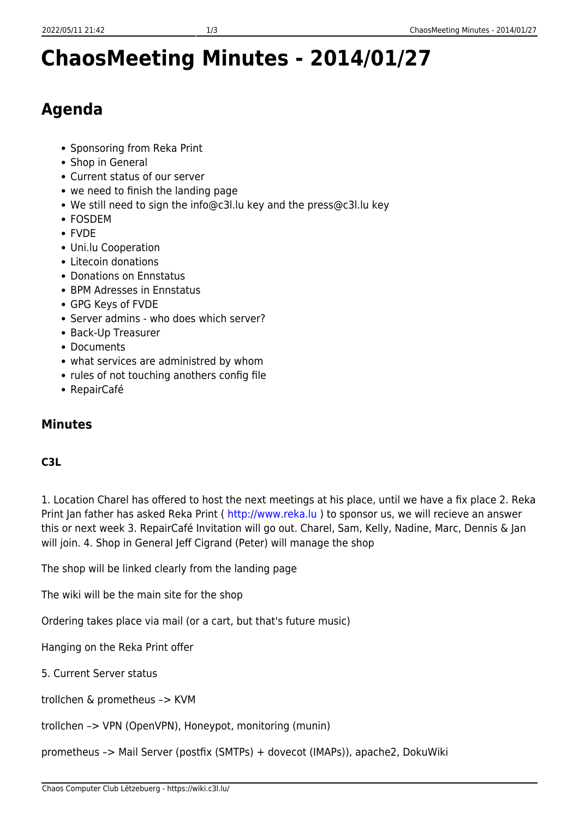## **ChaosMeeting Minutes - 2014/01/27**

## **Agenda**

- Sponsoring from Reka Print
- Shop in General
- Current status of our server
- we need to finish the landing page
- We still need to sign the info@c3l.lu key and the press@c3l.lu key
- FOSDEM
- FVDE
- Uni.lu Cooperation
- Litecoin donations
- Donations on Ennstatus
- BPM Adresses in Ennstatus
- GPG Keys of FVDE
- Server admins who does which server?
- Back-Up Treasurer
- Documents
- what services are administred by whom
- rules of not touching anothers config file
- RepairCafé

## **Minutes**

## **C3L**

1. Location Charel has offered to host the next meetings at his place, until we have a fix place 2. Reka Print Jan father has asked Reka Print (<http://www.reka.lu>) to sponsor us, we will recieve an answer this or next week 3. RepairCafé Invitation will go out. Charel, Sam, Kelly, Nadine, Marc, Dennis & Jan will join. 4. Shop in General Jeff Cigrand (Peter) will manage the shop

The shop will be linked clearly from the landing page

The wiki will be the main site for the shop

Ordering takes place via mail (or a cart, but that's future music)

Hanging on the Reka Print offer

5. Current Server status

trollchen & prometheus –> KVM

trollchen –> VPN (OpenVPN), Honeypot, monitoring (munin)

prometheus –> Mail Server (postfix (SMTPs) + dovecot (IMAPs)), apache2, DokuWiki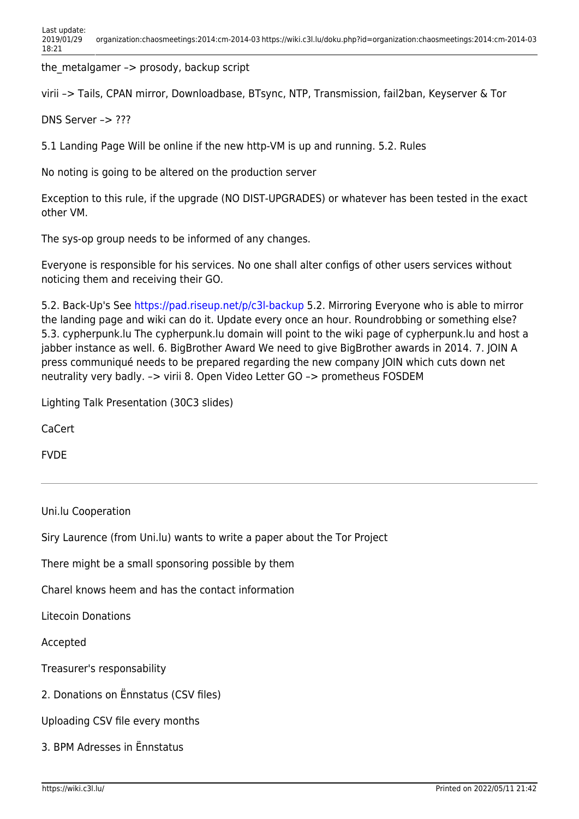the metalgamer  $\rightarrow$  prosody, backup script

virii –> Tails, CPAN mirror, Downloadbase, BTsync, NTP, Transmission, fail2ban, Keyserver & Tor

DNS Server –> ???

5.1 Landing Page Will be online if the new http-VM is up and running. 5.2. Rules

No noting is going to be altered on the production server

Exception to this rule, if the upgrade (NO DIST-UPGRADES) or whatever has been tested in the exact other VM.

The sys-op group needs to be informed of any changes.

Everyone is responsible for his services. No one shall alter configs of other users services without noticing them and receiving their GO.

5.2. Back-Up's See<https://pad.riseup.net/p/c3l-backup>5.2. Mirroring Everyone who is able to mirror the landing page and wiki can do it. Update every once an hour. Roundrobbing or something else? 5.3. cypherpunk.lu The cypherpunk.lu domain will point to the wiki page of cypherpunk.lu and host a jabber instance as well. 6. BigBrother Award We need to give BigBrother awards in 2014. 7. JOIN A press communiqué needs to be prepared regarding the new company JOIN which cuts down net neutrality very badly. –> virii 8. Open Video Letter GO –> prometheus FOSDEM

Lighting Talk Presentation (30C3 slides)

CaCert

FVDE

Uni.lu Cooperation

Siry Laurence (from Uni.lu) wants to write a paper about the Tor Project

There might be a small sponsoring possible by them

Charel knows heem and has the contact information

Litecoin Donations

Accepted

Treasurer's responsability

2. Donations on Ënnstatus (CSV files)

Uploading CSV file every months

3. BPM Adresses in Ënnstatus